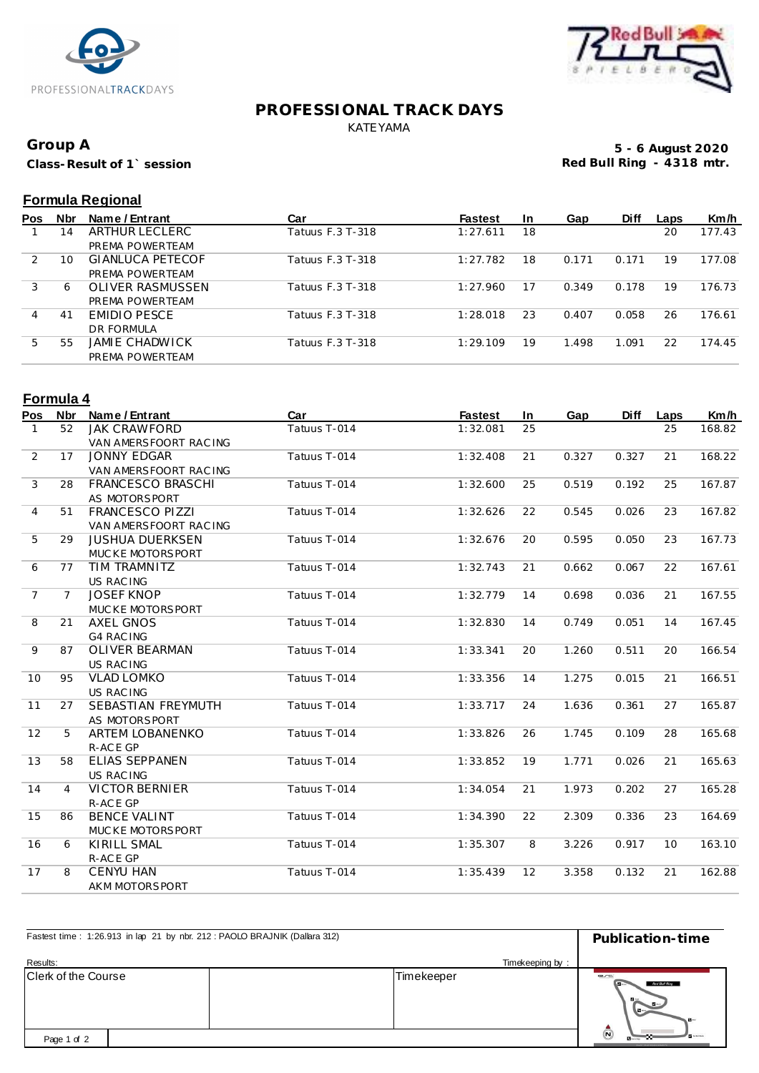



### **PROFESSIONAL TRACK DAYS** KATEYAMA

# **Group A**

**Class-Result of 1` session**

**5 - 6 August 2020 Red Bull Ring - 4318 mtr.**

# **Formula Regional**

| Pos | <b>Nbr</b> | Name / Entrant          | Car              | <b>Fastest</b> | <u>In</u> | Gap   | <b>Diff</b> | Laps | Km/h   |
|-----|------------|-------------------------|------------------|----------------|-----------|-------|-------------|------|--------|
|     | 14         | ARTHUR LECLERC          | Tatuus F.3 T-318 | 1:27.611       | 18        |       |             | 20   | 177.43 |
|     |            | PREMA POWERTEAM         |                  |                |           |       |             |      |        |
| 2   | 10         | <b>GIANLUCA PETECOF</b> | Tatuus F.3 T-318 | 1:27.782       | 18        | 0.171 | 0.171       | 19   | 177.08 |
|     |            | PREMA POWERTEAM         |                  |                |           |       |             |      |        |
| 3   | 6          | OLIVER RASMUSSEN        | Tatuus F.3 T-318 | 1:27.960       |           | 0.349 | 0.178       | 19   | 176.73 |
|     |            | PREMA POWERTEAM         |                  |                |           |       |             |      |        |
| 4   | 41         | EMIDIO PESCE            | Tatuus F.3 T-318 | 1:28.018       | 23        | 0.407 | 0.058       | 26   | 176.61 |
|     |            | DR FORMULA              |                  |                |           |       |             |      |        |
| 5   | 55         | JAMIE CHADWICK          | Tatuus F.3 T-318 | 1:29.109       | 19        | 1.498 | 1.091       | 22   | 174.45 |
|     |            | PREMA POWERTEAM         |                  |                |           |       |             |      |        |

# **Formula 4**

| Pos            | <b>Nbr</b>     | Name / Entrant         | Car          | <b>Fastest</b> | In | Gap   | <b>Diff</b> | Laps | Km/h   |
|----------------|----------------|------------------------|--------------|----------------|----|-------|-------------|------|--------|
| 1              | 52             | <b>JAK CRAWFORD</b>    | Tatuus T-014 | 1:32.081       | 25 |       |             | 25   | 168.82 |
|                |                | VAN AMERSFOORT RACING  |              |                |    |       |             |      |        |
| 2              | 17             | <b>JONNY EDGAR</b>     | Tatuus T-014 | 1:32.408       | 21 | 0.327 | 0.327       | 21   | 168.22 |
|                |                | VAN AMERSFOORT RAC ING |              |                |    |       |             |      |        |
| 3              | 28             | FRANCESCO BRASCHI      | Tatuus T-014 | 1:32.600       | 25 | 0.519 | 0.192       | 25   | 167.87 |
|                |                | AS MOTORSPORT          |              |                |    |       |             |      |        |
| $\overline{4}$ | 51             | FRANCESCO PIZZI        | Tatuus T-014 | 1:32.626       | 22 | 0.545 | 0.026       | 23   | 167.82 |
|                |                | VAN AMERSFOORT RACING  |              |                |    |       |             |      |        |
| 5              | 29             | <b>JUSHUA DUERKSEN</b> | Tatuus T-014 | 1:32.676       | 20 | 0.595 | 0.050       | 23   | 167.73 |
|                |                | MUCKE MOTORSPORT       |              |                |    |       |             |      |        |
| 6              | 77             | TIM TRAMNITZ           | Tatuus T-014 | 1:32.743       | 21 | 0.662 | 0.067       | 22   | 167.61 |
|                |                | US RAC ING             |              |                |    |       |             |      |        |
| $\overline{7}$ | $\overline{7}$ | <b>JOSEF KNOP</b>      | Tatuus T-014 | 1:32.779       | 14 | 0.698 | 0.036       | 21   | 167.55 |
|                |                | MUCKE MOTORSPORT       |              |                |    |       |             |      |        |
| 8              | 21             | <b>AXEL GNOS</b>       | Tatuus T-014 | 1:32.830       | 14 | 0.749 | 0.051       | 14   | 167.45 |
|                |                | <b>G4 RAC ING</b>      |              |                |    |       |             |      |        |
| 9              | 87             | <b>OLIVER BEARMAN</b>  | Tatuus T-014 | 1:33.341       | 20 | 1.260 | 0.511       | 20   | 166.54 |
|                |                | <b>US RACING</b>       |              |                |    |       |             |      |        |
| 10             | 95             | <b>VLAD LOMKO</b>      | Tatuus T-014 | 1:33.356       | 14 | 1.275 | 0.015       | 21   | 166.51 |
|                |                | <b>US RACING</b>       |              |                |    |       |             |      |        |
| 11             | 27             | SEBASTIAN FREYMUTH     | Tatuus T-014 | 1:33.717       | 24 | 1.636 | 0.361       | 27   | 165.87 |
|                |                | AS MOTORSPORT          |              |                |    |       |             |      |        |
| 12             | 5              | ARTEM LOBANENKO        | Tatuus T-014 | 1:33.826       | 26 | 1.745 | 0.109       | 28   | 165.68 |
|                |                | R-ACE GP               |              |                |    |       |             |      |        |
| 13             | 58             | <b>ELIAS SEPPÄNEN</b>  | Tatuus T-014 | 1:33.852       | 19 | 1.771 | 0.026       | 21   | 165.63 |
|                |                | <b>US RACING</b>       |              |                |    |       |             |      |        |
| 14             | $\overline{4}$ | <b>VICTOR BERNIER</b>  | Tatuus T-014 | 1:34.054       | 21 | 1.973 | 0.202       | 27   | 165.28 |
|                |                | R-ACE GP               |              |                |    |       |             |      |        |
| 15             | 86             | <b>BENCE VALINT</b>    | Tatuus T-014 | 1:34.390       | 22 | 2.309 | 0.336       | 23   | 164.69 |
|                |                | MUCKE MOTORSPORT       |              |                |    |       |             |      |        |
| 16             | 6              | <b>KIRILL SMAL</b>     | Tatuus T-014 | 1:35.307       | 8  | 3.226 | 0.917       | 10   | 163.10 |
|                |                | R-ACE GP               |              |                |    |       |             |      |        |
| 17             | 8              | <b>CENYU HAN</b>       | Tatuus T-014 | 1:35.439       | 12 | 3.358 | 0.132       | 21   | 162.88 |
|                |                | AKM MOTORSPORT         |              |                |    |       |             |      |        |

| Fastest time: 1:26.913 in lap 21 by nbr. 212: PAOLO BRAJNIK (Dallara 312) | Publication-time |                                                                                    |  |
|---------------------------------------------------------------------------|------------------|------------------------------------------------------------------------------------|--|
| Results:                                                                  | Timekeeping by:  |                                                                                    |  |
| Clerk of the Course                                                       | Timekeeper       | erc<br>Red Bull Ring<br>$\mathbf{B}$<br>$\mathbf{B}$                               |  |
| Page 1 of 2                                                               |                  | $\bar{\bm{\omega}}$<br><b>Museum</b><br><b><i>MASSY VILLES CHARLES MOMENTS</i></b> |  |